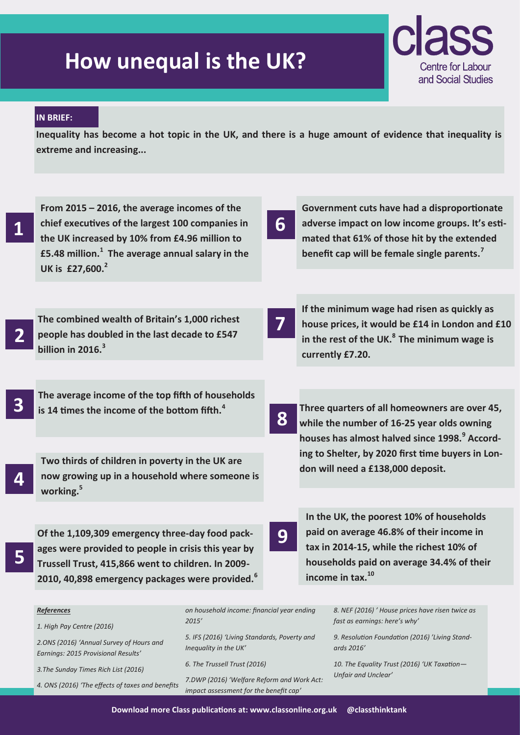## **How unequal is the UK?**



## **IN BRIEF:**

**Inequality has become a hot topic in the UK, and there is a huge amount of evidence that inequality is extreme and increasing...**

**1**

**From 2015 – 2016, the average incomes of the chief executives of the largest 100 companies in the UK increased by 10% from £4.96 million to £5.48 million.<sup>1</sup> The average annual salary in the UK is £27,600.<sup>2</sup>**

**6**

**7**

**8**

**Government cuts have had a disproportionate adverse impact on low income groups. It's estimated that 61% of those hit by the extended benefit cap will be female single parents.<sup>7</sup>**

**If the minimum wage had risen as quickly as house prices, it would be £14 in London and £10** 

**in the rest of the UK.<sup>8</sup>The minimum wage is** 

**Three quarters of all homeowners are over 45, while the number of 16-25 year olds owning houses has almost halved since 1998.<sup>9</sup> According to Shelter, by 2020 first time buyers in Lon-**

**don will need a £138,000 deposit.**

**currently £7.20.**

**2 The combined wealth of Britain's 1,000 richest people has doubled in the last decade to £547 billion in 2016.<sup>3</sup>**

**3 The average income of the top fifth of households is 14 times the income of the bottom fifth.<sup>4</sup>**

**4**

**Two thirds of children in poverty in the UK are now growing up in a household where someone is working.<sup>5</sup>**

**5**

**Of the 1,109,309 emergency three-day food packages were provided to people in crisis this year by Trussell Trust, 415,866 went to children. In 2009- 2010, 40,898 emergency packages were provided.<sup>6</sup>**

## **9**

**In the UK, the poorest 10% of households paid on average 46.8% of their income in tax in 2014-15, while the richest 10% of households paid on average 34.4% of their income in tax.<sup>10</sup>**

| <b>References</b>                                                               | on household income: financial year ending                                           |
|---------------------------------------------------------------------------------|--------------------------------------------------------------------------------------|
| 1. High Pay Centre (2016)                                                       | 2015'                                                                                |
| 2.ONS (2016) 'Annual Survey of Hours and<br>Earnings: 2015 Provisional Results' | 5. IFS (2016) 'Living Standards, Poverty and<br>Inequality in the UK'                |
| 3. The Sunday Times Rich List (2016)                                            | 6. The Trussell Trust (2016)                                                         |
| 4. ONS (2016) 'The effects of taxes and benefits                                | 7.DWP (2016) 'Welfare Reform and Work Act:<br>impact assessment for the benefit cap' |

*8. NEF (2016) ' House prices have risen twice as fast as earnings: here's why'*

*9. Resolution Foundation (2016) 'Living Standards 2016'* 

*10. The Equality Trust (2016) 'UK Taxation— Unfair and Unclear'*